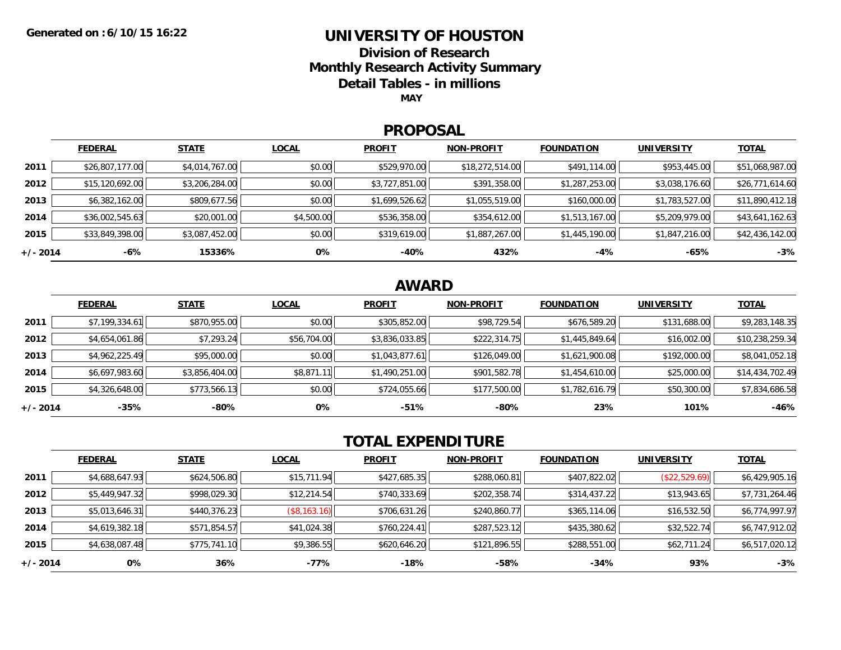### **UNIVERSITY OF HOUSTON**

**Division of ResearchMonthly Research Activity Summary**

**Detail Tables - in millions**

**MAY**

#### **PROPOSAL**

|            | <b>FEDERAL</b>  | <b>STATE</b>   | <b>LOCAL</b> | <b>PROFIT</b>  | <b>NON-PROFIT</b> | <b>FOUNDATION</b> | <b>UNIVERSITY</b> | <b>TOTAL</b>    |
|------------|-----------------|----------------|--------------|----------------|-------------------|-------------------|-------------------|-----------------|
| 2011       | \$26,807,177.00 | \$4,014,767.00 | \$0.00       | \$529,970.00   | \$18,272,514.00   | \$491,114.00      | \$953,445.00      | \$51,068,987.00 |
| 2012       | \$15,120,692.00 | \$3,206,284.00 | \$0.00       | \$3,727,851.00 | \$391,358.00      | \$1,287,253.00    | \$3,038,176.60    | \$26,771,614.60 |
| 2013       | \$6,382,162.00  | \$809,677.56   | \$0.00       | \$1,699,526.62 | \$1,055,519.00    | \$160,000.00      | \$1,783,527.00    | \$11,890,412.18 |
| 2014       | \$36,002,545.63 | \$20,001.00    | \$4,500.00   | \$536,358.00   | \$354,612.00      | \$1,513,167.00    | \$5,209,979.00    | \$43,641,162.63 |
| 2015       | \$33,849,398.00 | \$3,087,452.00 | \$0.00       | \$319,619.00   | \$1,887,267.00    | \$1,445,190.00    | \$1,847,216.00    | \$42,436,142.00 |
| $+/- 2014$ | -6%             | 15336%         | 0%           | -40%           | 432%              | -4%               | -65%              | $-3%$           |

## **AWARD**

|          | <b>FEDERAL</b> | <b>STATE</b>   | <b>LOCAL</b> | <b>PROFIT</b>  | <b>NON-PROFIT</b> | <b>FOUNDATION</b> | <b>UNIVERSITY</b> | <u>TOTAL</u>    |
|----------|----------------|----------------|--------------|----------------|-------------------|-------------------|-------------------|-----------------|
| 2011     | \$7,199,334.61 | \$870,955.00   | \$0.00       | \$305,852.00   | \$98,729.54       | \$676,589.20      | \$131,688.00      | \$9,283,148.35  |
| 2012     | \$4,654,061.86 | \$7,293.24     | \$56,704.00  | \$3,836,033.85 | \$222,314.75      | \$1,445,849.64    | \$16,002.00       | \$10,238,259.34 |
| 2013     | \$4,962,225.49 | \$95,000.00    | \$0.00       | \$1,043,877.61 | \$126,049.00      | \$1,621,900.08    | \$192,000.00      | \$8,041,052.18  |
| 2014     | \$6,697,983.60 | \$3,856,404.00 | \$8,871.11   | \$1,490,251.00 | \$901,582.78      | \$1,454,610.00    | \$25,000.00       | \$14,434,702.49 |
| 2015     | \$4,326,648.00 | \$773,566.13   | \$0.00       | \$724,055.66   | \$177,500.00      | \$1,782,616.79    | \$50,300.00       | \$7,834,686.58  |
| +/- 2014 | $-35%$         | $-80%$         | 0%           | $-51%$         | -80%              | 23%               | 101%              | $-46%$          |

# **TOTAL EXPENDITURE**

|          | <b>FEDERAL</b> | <b>STATE</b> | <b>LOCAL</b>                | <b>PROFIT</b> | <b>NON-PROFIT</b> | <b>FOUNDATION</b> | <b>UNIVERSITY</b> | <u>TOTAL</u>   |
|----------|----------------|--------------|-----------------------------|---------------|-------------------|-------------------|-------------------|----------------|
| 2011     | \$4,688,647.93 | \$624,506.80 | \$15,711.94                 | \$427,685.35  | \$288,060.81      | \$407,822.02      | (\$22,529.69)     | \$6,429,905.16 |
| 2012     | \$5,449,947.32 | \$998,029.30 | \$12,214.54                 | \$740,333.69  | \$202,358.74      | \$314,437.22      | \$13,943.65       | \$7,731,264.46 |
| 2013     | \$5,013,646.31 | \$440,376.23 | $($ \$8,163.16) $\parallel$ | \$706,631.26  | \$240,860.77      | \$365,114.06      | \$16,532.50       | \$6,774,997.97 |
| 2014     | \$4,619,382.18 | \$571,854.57 | \$41,024.38                 | \$760,224.41  | \$287,523.12      | \$435,380.62      | \$32,522.74       | \$6,747,912.02 |
| 2015     | \$4,638,087.48 | \$775,741.10 | \$9,386.55                  | \$620,646.20  | \$121,896.55      | \$288,551.00      | \$62,711.24       | \$6,517,020.12 |
| +/- 2014 | 0%             | 36%          | -77%                        | -18%          | $-58%$            | $-34%$            | 93%               | $-3%$          |